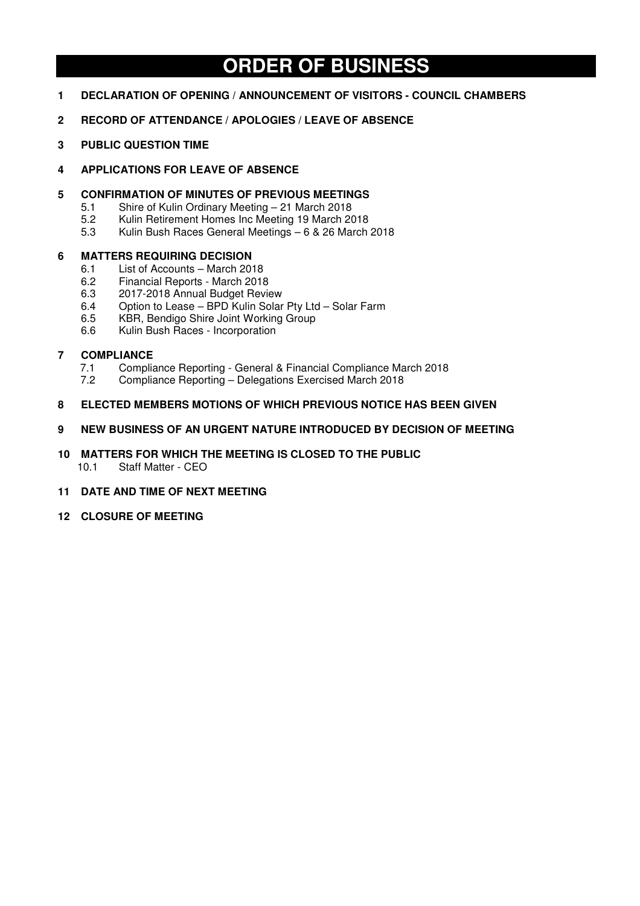# **ORDER OF BUSINESS**

- **1 DECLARATION OF OPENING / ANNOUNCEMENT OF VISITORS COUNCIL CHAMBERS**
- **2 RECORD OF ATTENDANCE / APOLOGIES / LEAVE OF ABSENCE**
- **3 PUBLIC QUESTION TIME**
- **4 APPLICATIONS FOR LEAVE OF ABSENCE**

## **5 CONFIRMATION OF MINUTES OF PREVIOUS MEETINGS**

- 5.1 Shire of Kulin Ordinary Meeting 21 March 2018
- 5.2 Kulin Retirement Homes Inc Meeting 19 March 2018
- 5.3 Kulin Bush Races General Meetings 6 & 26 March 2018

## **6 MATTERS REQUIRING DECISION**

- 6.1 List of Accounts March 2018
- 6.2 Financial Reports March 2018
- 6.3 2017-2018 Annual Budget Review
- 6.4 Option to Lease BPD Kulin Solar Pty Ltd Solar Farm
- 6.5 KBR, Bendigo Shire Joint Working Group
- 6.6 Kulin Bush Races Incorporation

## **7 COMPLIANCE**

- 7.1 Compliance Reporting General & Financial Compliance March 2018
- 7.2 Compliance Reporting Delegations Exercised March 2018

## **8 ELECTED MEMBERS MOTIONS OF WHICH PREVIOUS NOTICE HAS BEEN GIVEN**

- **9 NEW BUSINESS OF AN URGENT NATURE INTRODUCED BY DECISION OF MEETING**
- **10 MATTERS FOR WHICH THE MEETING IS CLOSED TO THE PUBLIC**  10.1 Staff Matter - CEO
- **11 DATE AND TIME OF NEXT MEETING**
- **12 CLOSURE OF MEETING**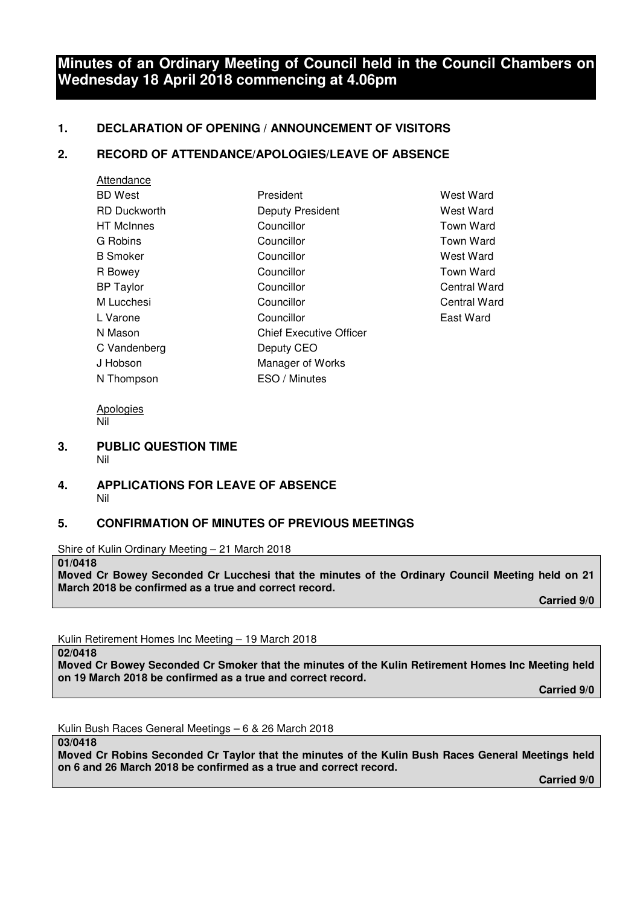# **Minutes of an Ordinary Meeting of Council held in the Council Chambers on Wednesday 18 April 2018 commencing at 4.06pm**

## **1. DECLARATION OF OPENING / ANNOUNCEMENT OF VISITORS**

## **2. RECORD OF ATTENDANCE/APOLOGIES/LEAVE OF ABSENCE**

| Attendance          |                                |
|---------------------|--------------------------------|
| <b>BD</b> West      | President                      |
| <b>RD Duckworth</b> | <b>Deputy President</b>        |
| <b>HT</b> McInnes   | Councillor                     |
| G Robins            | Councillor                     |
| <b>B</b> Smoker     | Councillor                     |
| R Bowey             | Councillor                     |
| <b>BP Taylor</b>    | Councillor                     |
| M Lucchesi          | Councillor                     |
| L Varone            | Councillor                     |
| N Mason             | <b>Chief Executive Officer</b> |
| C Vandenberg        | Deputy CEO                     |
| J Hobson            | Manager of Works               |
| N Thompson          | ESO / Minutes                  |
|                     |                                |

West Ward **West Ward** Town Ward Town Ward West Ward Town Ward Central Ward Central Ward East Ward

Apologies Nil

- **3. PUBLIC QUESTION TIME**  Nil
- **4. APPLICATIONS FOR LEAVE OF ABSENCE**  Nil

## **5. CONFIRMATION OF MINUTES OF PREVIOUS MEETINGS**

Shire of Kulin Ordinary Meeting – 21 March 2018

**01/0418** 

**Moved Cr Bowey Seconded Cr Lucchesi that the minutes of the Ordinary Council Meeting held on 21 March 2018 be confirmed as a true and correct record.** 

 **Carried 9/0** 

Kulin Retirement Homes Inc Meeting – 19 March 2018

**02/0418** 

**Moved Cr Bowey Seconded Cr Smoker that the minutes of the Kulin Retirement Homes Inc Meeting held on 19 March 2018 be confirmed as a true and correct record.** 

 **Carried 9/0** 

Kulin Bush Races General Meetings – 6 & 26 March 2018

**03/0418** 

**Moved Cr Robins Seconded Cr Taylor that the minutes of the Kulin Bush Races General Meetings held on 6 and 26 March 2018 be confirmed as a true and correct record.** 

 **Carried 9/0**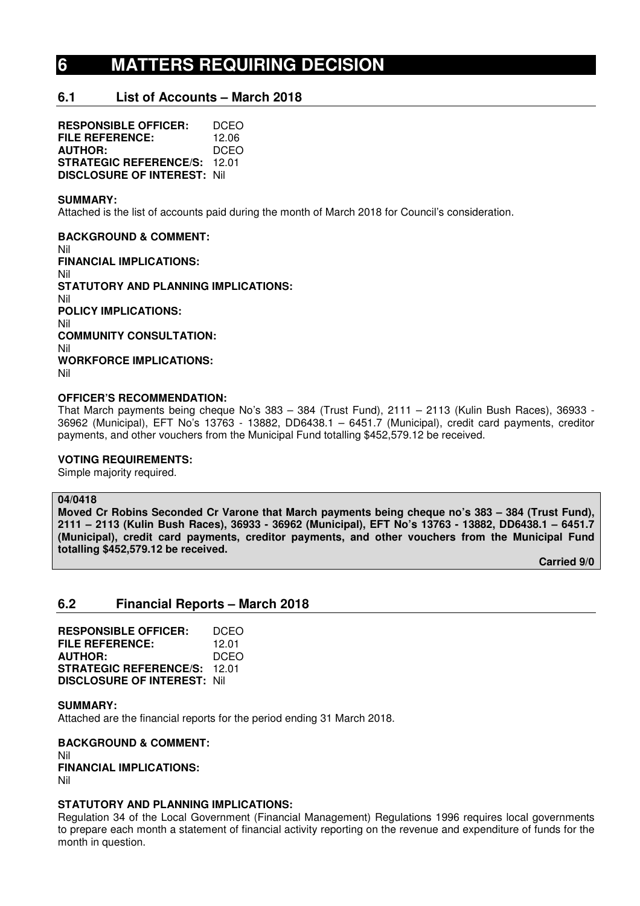# **6 MATTERS REQUIRING DECISION**

## **6.1 List of Accounts – March 2018**

**RESPONSIBLE OFFICER:** DCEO **FILE REFERENCE:** 12.06 **AUTHOR:** DCEO **STRATEGIC REFERENCE/S:** 12.01 **DISCLOSURE OF INTEREST:** Nil

#### **SUMMARY:**

Attached is the list of accounts paid during the month of March 2018 for Council's consideration.

**BACKGROUND & COMMENT:**  Nil **FINANCIAL IMPLICATIONS:**  Nil **STATUTORY AND PLANNING IMPLICATIONS:**  Nil **POLICY IMPLICATIONS:**  Nil **COMMUNITY CONSULTATION:**  Nil **WORKFORCE IMPLICATIONS:**  Nil

#### **OFFICER'S RECOMMENDATION:**

That March payments being cheque No's 383 – 384 (Trust Fund), 2111 – 2113 (Kulin Bush Races), 36933 - 36962 (Municipal), EFT No's 13763 - 13882, DD6438.1 – 6451.7 (Municipal), credit card payments, creditor payments, and other vouchers from the Municipal Fund totalling \$452,579.12 be received.

#### **VOTING REQUIREMENTS:**

Simple majority required.

#### **04/0418**

**Moved Cr Robins Seconded Cr Varone that March payments being cheque no's 383 – 384 (Trust Fund), 2111 – 2113 (Kulin Bush Races), 36933 - 36962 (Municipal), EFT No's 13763 - 13882, DD6438.1 – 6451.7 (Municipal), credit card payments, creditor payments, and other vouchers from the Municipal Fund totalling \$452,579.12 be received.** 

 **Carried 9/0** 

## **6.2 Financial Reports – March 2018**

**RESPONSIBLE OFFICER:** DCEO **FILE REFERENCE:** 12.01 **AUTHOR:** DCEO **STRATEGIC REFERENCE/S:** 12.01 **DISCLOSURE OF INTEREST:** Nil

**SUMMARY:**  Attached are the financial reports for the period ending 31 March 2018.

**BACKGROUND & COMMENT:**  Nil **FINANCIAL IMPLICATIONS:**  Nil

#### **STATUTORY AND PLANNING IMPLICATIONS:**

Regulation 34 of the Local Government (Financial Management) Regulations 1996 requires local governments to prepare each month a statement of financial activity reporting on the revenue and expenditure of funds for the month in question.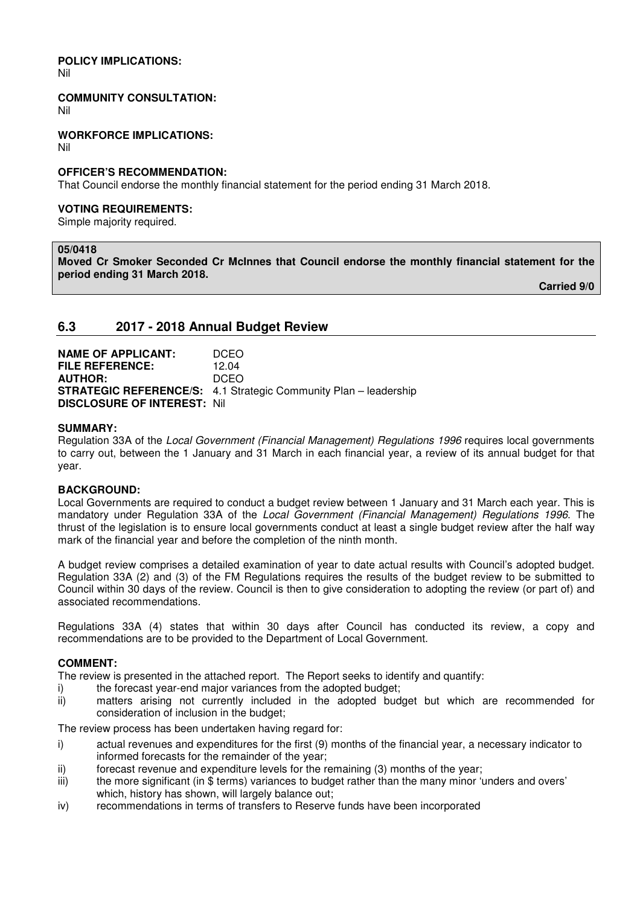# **POLICY IMPLICATIONS:**

Nil

#### **COMMUNITY CONSULTATION:**

Nil

**WORKFORCE IMPLICATIONS:** 

Nil

#### **OFFICER'S RECOMMENDATION:**

That Council endorse the monthly financial statement for the period ending 31 March 2018.

#### **VOTING REQUIREMENTS:**

Simple majority required.

#### **05/0418**

**Moved Cr Smoker Seconded Cr McInnes that Council endorse the monthly financial statement for the period ending 31 March 2018.** 

 **Carried 9/0** 

## **6.3 2017 - 2018 Annual Budget Review**

**NAME OF APPLICANT:** DCEO **FILE REFERENCE:** 12.04 **AUTHOR:** DCEO **STRATEGIC REFERENCE/S:** 4.1 Strategic Community Plan – leadership **DISCLOSURE OF INTEREST:** Nil

#### **SUMMARY:**

Regulation 33A of the *Local Government (Financial Management) Regulations 1996* requires local governments to carry out, between the 1 January and 31 March in each financial year, a review of its annual budget for that year.

## **BACKGROUND:**

Local Governments are required to conduct a budget review between 1 January and 31 March each year. This is mandatory under Regulation 33A of the *Local Government (Financial Management) Regulations 1996*. The thrust of the legislation is to ensure local governments conduct at least a single budget review after the half way mark of the financial year and before the completion of the ninth month.

A budget review comprises a detailed examination of year to date actual results with Council's adopted budget. Regulation 33A (2) and (3) of the FM Regulations requires the results of the budget review to be submitted to Council within 30 days of the review. Council is then to give consideration to adopting the review (or part of) and associated recommendations.

Regulations 33A (4) states that within 30 days after Council has conducted its review, a copy and recommendations are to be provided to the Department of Local Government.

## **COMMENT:**

The review is presented in the attached report. The Report seeks to identify and quantify:

- i) the forecast year-end major variances from the adopted budget;
- ii) matters arising not currently included in the adopted budget but which are recommended for consideration of inclusion in the budget;

The review process has been undertaken having regard for:

- i) actual revenues and expenditures for the first (9) months of the financial year, a necessary indicator to informed forecasts for the remainder of the year;
- ii) forecast revenue and expenditure levels for the remaining (3) months of the year;
- iii) the more significant (in \$ terms) variances to budget rather than the many minor 'unders and overs' which, history has shown, will largely balance out;
- iv) recommendations in terms of transfers to Reserve funds have been incorporated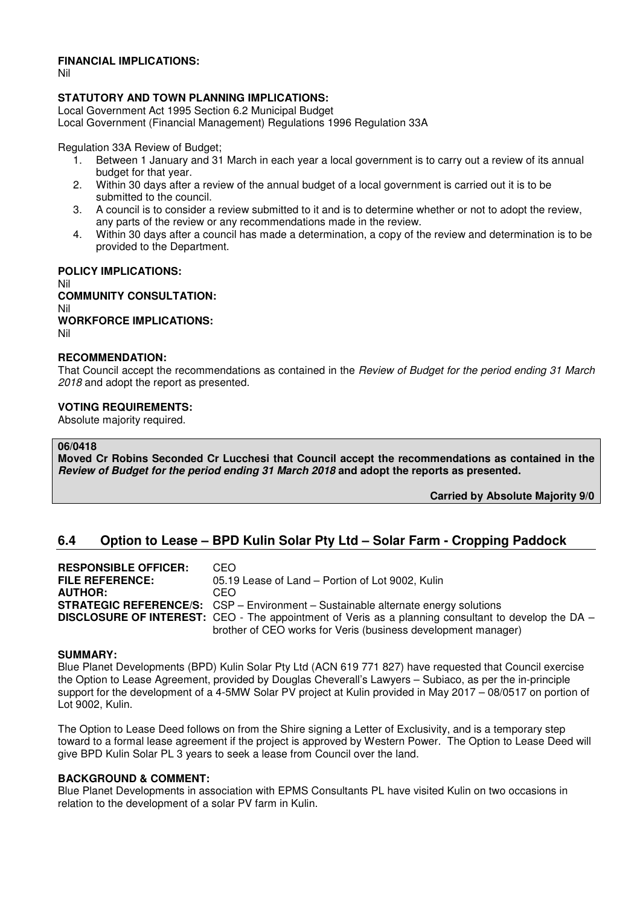#### **FINANCIAL IMPLICATIONS:**

Nil

## **STATUTORY AND TOWN PLANNING IMPLICATIONS:**

Local Government Act 1995 Section 6.2 Municipal Budget Local Government (Financial Management) Regulations 1996 Regulation 33A

Regulation 33A Review of Budget;

- 1. Between 1 January and 31 March in each year a local government is to carry out a review of its annual budget for that year.
- 2. Within 30 days after a review of the annual budget of a local government is carried out it is to be submitted to the council.
- 3. A council is to consider a review submitted to it and is to determine whether or not to adopt the review, any parts of the review or any recommendations made in the review.
- 4. Within 30 days after a council has made a determination, a copy of the review and determination is to be provided to the Department.

**POLICY IMPLICATIONS:** Nil **COMMUNITY CONSULTATION:** Nil **WORKFORCE IMPLICATIONS:**

## Nil

# **RECOMMENDATION:**

That Council accept the recommendations as contained in the *Review of Budget for the period ending 31 March 2018* and adopt the report as presented.

#### **VOTING REQUIREMENTS:**

Absolute majority required.

#### **06/0418**

**Moved Cr Robins Seconded Cr Lucchesi that Council accept the recommendations as contained in the**  *Review of Budget for the period ending 31 March 2018* **and adopt the reports as presented.** 

## **Carried by Absolute Majority 9/0**

# **6.4 Option to Lease – BPD Kulin Solar Pty Ltd – Solar Farm - Cropping Paddock**

| <b>RESPONSIBLE OFFICER:</b> | CEO.                                                                                                         |
|-----------------------------|--------------------------------------------------------------------------------------------------------------|
| <b>FILE REFERENCE:</b>      | 05.19 Lease of Land - Portion of Lot 9002, Kulin                                                             |
| <b>AUTHOR:</b>              | CEO.                                                                                                         |
|                             | <b>STRATEGIC REFERENCE/S:</b> CSP - Environment - Sustainable alternate energy solutions                     |
|                             | <b>DISCLOSURE OF INTEREST:</b> CEO - The appointment of Veris as a planning consultant to develop the DA $-$ |
|                             | brother of CEO works for Veris (business development manager)                                                |

#### **SUMMARY:**

Blue Planet Developments (BPD) Kulin Solar Pty Ltd (ACN 619 771 827) have requested that Council exercise the Option to Lease Agreement, provided by Douglas Cheverall's Lawyers – Subiaco, as per the in-principle support for the development of a 4-5MW Solar PV project at Kulin provided in May 2017 – 08/0517 on portion of Lot 9002, Kulin.

The Option to Lease Deed follows on from the Shire signing a Letter of Exclusivity, and is a temporary step toward to a formal lease agreement if the project is approved by Western Power. The Option to Lease Deed will give BPD Kulin Solar PL 3 years to seek a lease from Council over the land.

#### **BACKGROUND & COMMENT:**

Blue Planet Developments in association with EPMS Consultants PL have visited Kulin on two occasions in relation to the development of a solar PV farm in Kulin.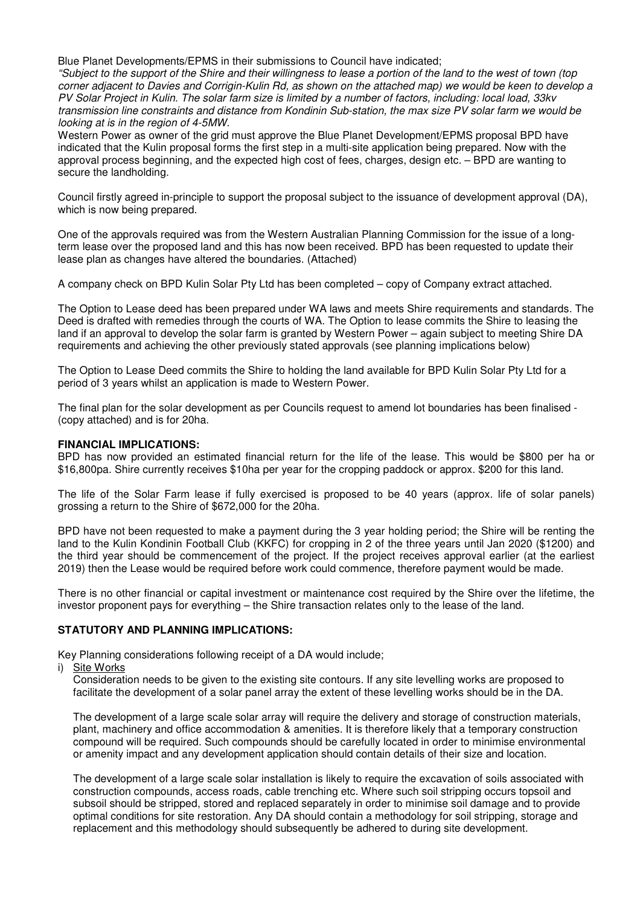Blue Planet Developments/EPMS in their submissions to Council have indicated;

*"Subject to the support of the Shire and their willingness to lease a portion of the land to the west of town (top corner adjacent to Davies and Corrigin-Kulin Rd, as shown on the attached map) we would be keen to develop a PV Solar Project in Kulin. The solar farm size is limited by a number of factors, including: local load, 33kv transmission line constraints and distance from Kondinin Sub-station, the max size PV solar farm we would be looking at is in the region of 4-5MW.* 

Western Power as owner of the grid must approve the Blue Planet Development/EPMS proposal BPD have indicated that the Kulin proposal forms the first step in a multi-site application being prepared. Now with the approval process beginning, and the expected high cost of fees, charges, design etc. – BPD are wanting to secure the landholding.

Council firstly agreed in-principle to support the proposal subject to the issuance of development approval (DA), which is now being prepared.

One of the approvals required was from the Western Australian Planning Commission for the issue of a longterm lease over the proposed land and this has now been received. BPD has been requested to update their lease plan as changes have altered the boundaries. (Attached)

A company check on BPD Kulin Solar Pty Ltd has been completed – copy of Company extract attached.

The Option to Lease deed has been prepared under WA laws and meets Shire requirements and standards. The Deed is drafted with remedies through the courts of WA. The Option to lease commits the Shire to leasing the land if an approval to develop the solar farm is granted by Western Power – again subject to meeting Shire DA requirements and achieving the other previously stated approvals (see planning implications below)

The Option to Lease Deed commits the Shire to holding the land available for BPD Kulin Solar Pty Ltd for a period of 3 years whilst an application is made to Western Power.

The final plan for the solar development as per Councils request to amend lot boundaries has been finalised - (copy attached) and is for 20ha.

#### **FINANCIAL IMPLICATIONS:**

BPD has now provided an estimated financial return for the life of the lease. This would be \$800 per ha or \$16,800pa. Shire currently receives \$10ha per year for the cropping paddock or approx. \$200 for this land.

The life of the Solar Farm lease if fully exercised is proposed to be 40 years (approx. life of solar panels) grossing a return to the Shire of \$672,000 for the 20ha.

BPD have not been requested to make a payment during the 3 year holding period; the Shire will be renting the land to the Kulin Kondinin Football Club (KKFC) for cropping in 2 of the three years until Jan 2020 (\$1200) and the third year should be commencement of the project. If the project receives approval earlier (at the earliest 2019) then the Lease would be required before work could commence, therefore payment would be made.

There is no other financial or capital investment or maintenance cost required by the Shire over the lifetime, the investor proponent pays for everything – the Shire transaction relates only to the lease of the land.

## **STATUTORY AND PLANNING IMPLICATIONS:**

Key Planning considerations following receipt of a DA would include;

i) Site Works

Consideration needs to be given to the existing site contours. If any site levelling works are proposed to facilitate the development of a solar panel array the extent of these levelling works should be in the DA.

The development of a large scale solar array will require the delivery and storage of construction materials, plant, machinery and office accommodation & amenities. It is therefore likely that a temporary construction compound will be required. Such compounds should be carefully located in order to minimise environmental or amenity impact and any development application should contain details of their size and location.

The development of a large scale solar installation is likely to require the excavation of soils associated with construction compounds, access roads, cable trenching etc. Where such soil stripping occurs topsoil and subsoil should be stripped, stored and replaced separately in order to minimise soil damage and to provide optimal conditions for site restoration. Any DA should contain a methodology for soil stripping, storage and replacement and this methodology should subsequently be adhered to during site development.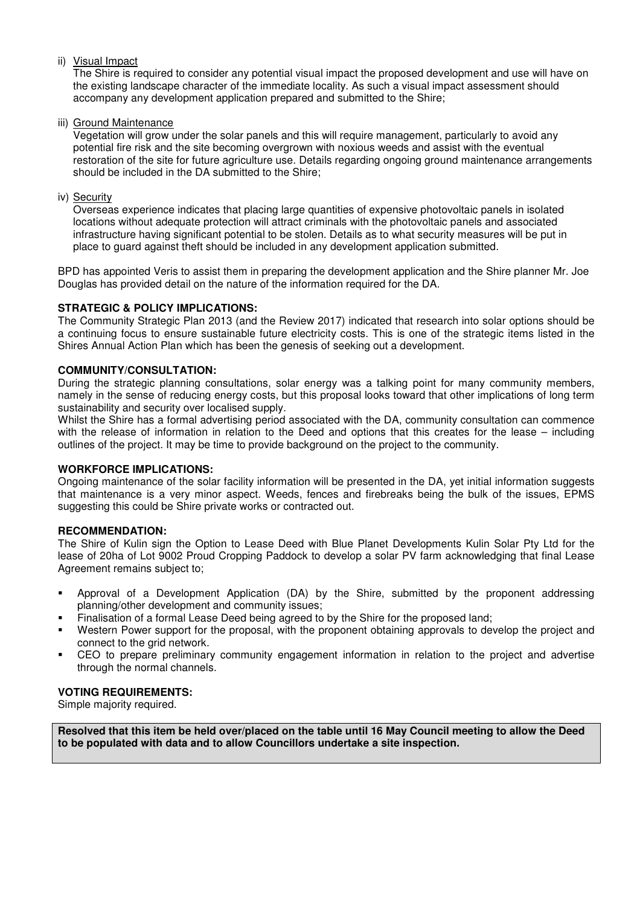## ii) Visual Impact

The Shire is required to consider any potential visual impact the proposed development and use will have on the existing landscape character of the immediate locality. As such a visual impact assessment should accompany any development application prepared and submitted to the Shire;

iii) Ground Maintenance

Vegetation will grow under the solar panels and this will require management, particularly to avoid any potential fire risk and the site becoming overgrown with noxious weeds and assist with the eventual restoration of the site for future agriculture use. Details regarding ongoing ground maintenance arrangements should be included in the DA submitted to the Shire;

## iv) Security

Overseas experience indicates that placing large quantities of expensive photovoltaic panels in isolated locations without adequate protection will attract criminals with the photovoltaic panels and associated infrastructure having significant potential to be stolen. Details as to what security measures will be put in place to guard against theft should be included in any development application submitted.

BPD has appointed Veris to assist them in preparing the development application and the Shire planner Mr. Joe Douglas has provided detail on the nature of the information required for the DA.

## **STRATEGIC & POLICY IMPLICATIONS:**

The Community Strategic Plan 2013 (and the Review 2017) indicated that research into solar options should be a continuing focus to ensure sustainable future electricity costs. This is one of the strategic items listed in the Shires Annual Action Plan which has been the genesis of seeking out a development.

## **COMMUNITY/CONSULTATION:**

During the strategic planning consultations, solar energy was a talking point for many community members, namely in the sense of reducing energy costs, but this proposal looks toward that other implications of long term sustainability and security over localised supply.

Whilst the Shire has a formal advertising period associated with the DA, community consultation can commence with the release of information in relation to the Deed and options that this creates for the lease – including outlines of the project. It may be time to provide background on the project to the community.

## **WORKFORCE IMPLICATIONS:**

Ongoing maintenance of the solar facility information will be presented in the DA, yet initial information suggests that maintenance is a very minor aspect. Weeds, fences and firebreaks being the bulk of the issues, EPMS suggesting this could be Shire private works or contracted out.

## **RECOMMENDATION:**

The Shire of Kulin sign the Option to Lease Deed with Blue Planet Developments Kulin Solar Pty Ltd for the lease of 20ha of Lot 9002 Proud Cropping Paddock to develop a solar PV farm acknowledging that final Lease Agreement remains subject to;

- Approval of a Development Application (DA) by the Shire, submitted by the proponent addressing planning/other development and community issues;
- Finalisation of a formal Lease Deed being agreed to by the Shire for the proposed land;
- Western Power support for the proposal, with the proponent obtaining approvals to develop the project and connect to the grid network.
- CEO to prepare preliminary community engagement information in relation to the project and advertise through the normal channels.

## **VOTING REQUIREMENTS:**

Simple majority required.

**Resolved that this item be held over/placed on the table until 16 May Council meeting to allow the Deed to be populated with data and to allow Councillors undertake a site inspection.**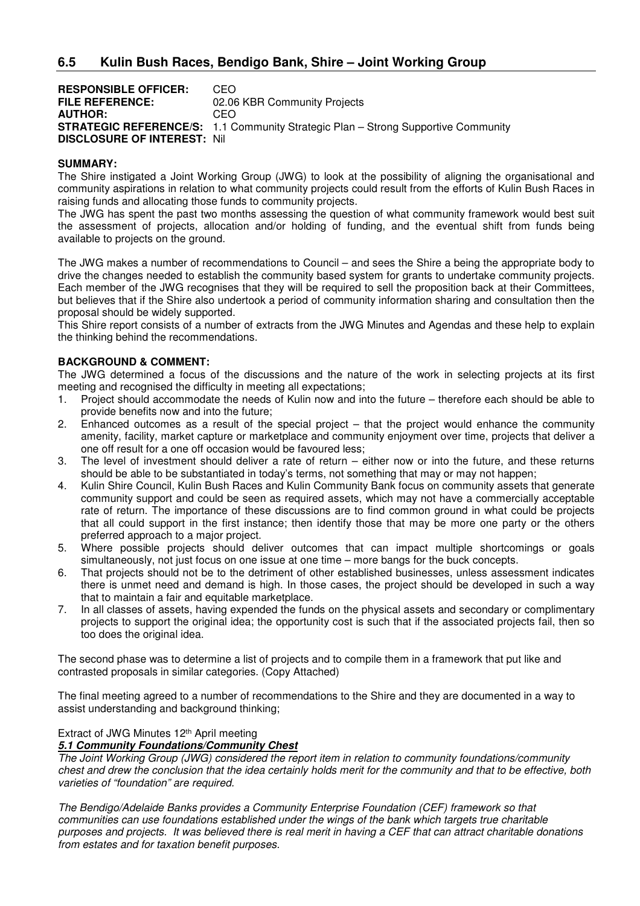| <b>RESPONSIBLE OFFICER:</b>         | CEO.                                                                                     |
|-------------------------------------|------------------------------------------------------------------------------------------|
| <b>FILE REFERENCE:</b>              | 02.06 KBR Community Projects                                                             |
| <b>AUTHOR:</b>                      | CEO                                                                                      |
|                                     | <b>STRATEGIC REFERENCE/S:</b> 1.1 Community Strategic Plan – Strong Supportive Community |
| <b>DISCLOSURE OF INTEREST: Nill</b> |                                                                                          |

#### **SUMMARY:**

The Shire instigated a Joint Working Group (JWG) to look at the possibility of aligning the organisational and community aspirations in relation to what community projects could result from the efforts of Kulin Bush Races in raising funds and allocating those funds to community projects.

The JWG has spent the past two months assessing the question of what community framework would best suit the assessment of projects, allocation and/or holding of funding, and the eventual shift from funds being available to projects on the ground.

The JWG makes a number of recommendations to Council – and sees the Shire a being the appropriate body to drive the changes needed to establish the community based system for grants to undertake community projects. Each member of the JWG recognises that they will be required to sell the proposition back at their Committees, but believes that if the Shire also undertook a period of community information sharing and consultation then the proposal should be widely supported.

This Shire report consists of a number of extracts from the JWG Minutes and Agendas and these help to explain the thinking behind the recommendations.

## **BACKGROUND & COMMENT:**

The JWG determined a focus of the discussions and the nature of the work in selecting projects at its first meeting and recognised the difficulty in meeting all expectations;

- 1. Project should accommodate the needs of Kulin now and into the future therefore each should be able to provide benefits now and into the future;
- 2. Enhanced outcomes as a result of the special project that the project would enhance the community amenity, facility, market capture or marketplace and community enjoyment over time, projects that deliver a one off result for a one off occasion would be favoured less;
- 3. The level of investment should deliver a rate of return either now or into the future, and these returns should be able to be substantiated in today's terms, not something that may or may not happen;
- 4. Kulin Shire Council, Kulin Bush Races and Kulin Community Bank focus on community assets that generate community support and could be seen as required assets, which may not have a commercially acceptable rate of return. The importance of these discussions are to find common ground in what could be projects that all could support in the first instance; then identify those that may be more one party or the others preferred approach to a major project.
- 5. Where possible projects should deliver outcomes that can impact multiple shortcomings or goals simultaneously, not just focus on one issue at one time – more bangs for the buck concepts.
- 6. That projects should not be to the detriment of other established businesses, unless assessment indicates there is unmet need and demand is high. In those cases, the project should be developed in such a way that to maintain a fair and equitable marketplace.
- 7. In all classes of assets, having expended the funds on the physical assets and secondary or complimentary projects to support the original idea; the opportunity cost is such that if the associated projects fail, then so too does the original idea.

The second phase was to determine a list of projects and to compile them in a framework that put like and contrasted proposals in similar categories. (Copy Attached)

The final meeting agreed to a number of recommendations to the Shire and they are documented in a way to assist understanding and background thinking;

## Extract of JWG Minutes 12th April meeting

## *5.1 Community Foundations/Community Chest*

*The Joint Working Group (JWG) considered the report item in relation to community foundations/community chest and drew the conclusion that the idea certainly holds merit for the community and that to be effective, both varieties of "foundation" are required.* 

*The Bendigo/Adelaide Banks provides a Community Enterprise Foundation (CEF) framework so that communities can use foundations established under the wings of the bank which targets true charitable purposes and projects. It was believed there is real merit in having a CEF that can attract charitable donations from estates and for taxation benefit purposes.*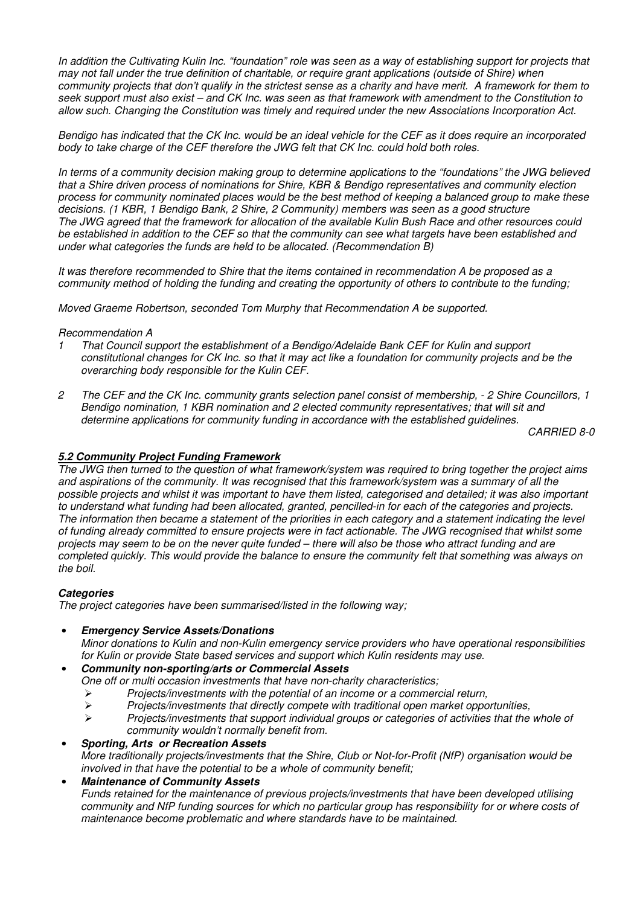*In addition the Cultivating Kulin Inc. "foundation" role was seen as a way of establishing support for projects that may not fall under the true definition of charitable, or require grant applications (outside of Shire) when community projects that don't qualify in the strictest sense as a charity and have merit. A framework for them to seek support must also exist – and CK Inc. was seen as that framework with amendment to the Constitution to allow such. Changing the Constitution was timely and required under the new Associations Incorporation Act.* 

*Bendigo has indicated that the CK Inc. would be an ideal vehicle for the CEF as it does require an incorporated body to take charge of the CEF therefore the JWG felt that CK Inc. could hold both roles.* 

*In terms of a community decision making group to determine applications to the "foundations" the JWG believed that a Shire driven process of nominations for Shire, KBR & Bendigo representatives and community election process for community nominated places would be the best method of keeping a balanced group to make these decisions. (1 KBR, 1 Bendigo Bank, 2 Shire, 2 Community) members was seen as a good structure The JWG agreed that the framework for allocation of the available Kulin Bush Race and other resources could be established in addition to the CEF so that the community can see what targets have been established and under what categories the funds are held to be allocated. (Recommendation B)* 

*It was therefore recommended to Shire that the items contained in recommendation A be proposed as a community method of holding the funding and creating the opportunity of others to contribute to the funding;* 

*Moved Graeme Robertson, seconded Tom Murphy that Recommendation A be supported.* 

#### *Recommendation A*

- *1 That Council support the establishment of a Bendigo/Adelaide Bank CEF for Kulin and support constitutional changes for CK Inc. so that it may act like a foundation for community projects and be the overarching body responsible for the Kulin CEF.*
- *2 The CEF and the CK Inc. community grants selection panel consist of membership, 2 Shire Councillors, 1 Bendigo nomination, 1 KBR nomination and 2 elected community representatives; that will sit and determine applications for community funding in accordance with the established guidelines.*

*CARRIED 8-0* 

## *5.2 Community Project Funding Framework*

*The JWG then turned to the question of what framework/system was required to bring together the project aims and aspirations of the community. It was recognised that this framework/system was a summary of all the possible projects and whilst it was important to have them listed, categorised and detailed; it was also important to understand what funding had been allocated, granted, pencilled-in for each of the categories and projects. The information then became a statement of the priorities in each category and a statement indicating the level of funding already committed to ensure projects were in fact actionable. The JWG recognised that whilst some projects may seem to be on the never quite funded – there will also be those who attract funding and are completed quickly. This would provide the balance to ensure the community felt that something was always on the boil.* 

## *Categories*

*The project categories have been summarised/listed in the following way;* 

## • *Emergency Service Assets/Donations*

*Minor donations to Kulin and non-Kulin emergency service providers who have operational responsibilities for Kulin or provide State based services and support which Kulin residents may use.* 

#### • *Community non-sporting/arts or Commercial Assets*

*One off or multi occasion investments that have non-charity characteristics;* 

- $\triangleright$ *Projects/investments with the potential of an income or a commercial return,*
- $\blacktriangleright$ *Projects/investments that directly compete with traditional open market opportunities,*
- $\blacktriangleright$  *Projects/investments that support individual groups or categories of activities that the whole of community wouldn't normally benefit from.*

#### • *Sporting, Arts or Recreation Assets*

*More traditionally projects/investments that the Shire, Club or Not-for-Profit (NfP) organisation would be involved in that have the potential to be a whole of community benefit;* 

## • *Maintenance of Community Assets*

*Funds retained for the maintenance of previous projects/investments that have been developed utilising community and NfP funding sources for which no particular group has responsibility for or where costs of maintenance become problematic and where standards have to be maintained.*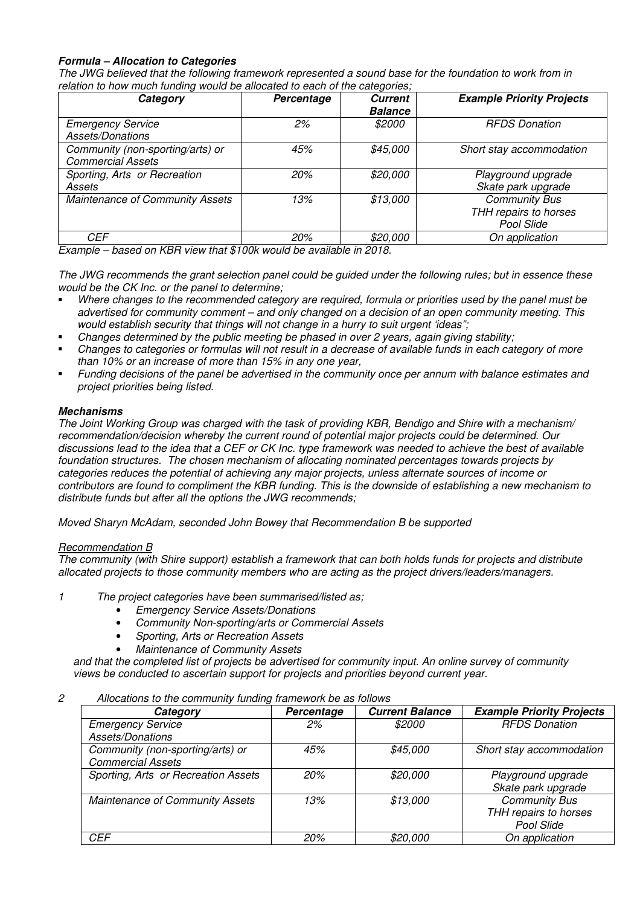## *Formula – Allocation to Categories*

*The JWG believed that the following framework represented a sound base for the foundation to work from in relation to how much funding would be allocated to each of the categories;* 

| Category                                                     | Percentage | <b>Current</b><br><b>Balance</b> | <b>Example Priority Projects</b>                     |
|--------------------------------------------------------------|------------|----------------------------------|------------------------------------------------------|
| <b>Emergency Service</b><br>Assets/Donations                 | 2%         | \$2000                           | <b>RFDS Donation</b>                                 |
| Community (non-sporting/arts) or<br><b>Commercial Assets</b> | 45%        | \$45,000                         | Short stay accommodation                             |
| Sporting, Arts or Recreation<br>Assets                       | 20%        | \$20,000                         | Playground upgrade<br>Skate park upgrade             |
| Maintenance of Community Assets                              | 13%        | \$13,000                         | Community Bus<br>THH repairs to horses<br>Pool Slide |
| CEF                                                          | 20%        | \$20,000                         | On application                                       |

*Example – based on KBR view that \$100k would be available in 2018.* 

*The JWG recommends the grant selection panel could be guided under the following rules; but in essence these would be the CK Inc. or the panel to determine;* 

- *Where changes to the recommended category are required, formula or priorities used by the panel must be advertised for community comment – and only changed on a decision of an open community meeting. This would establish security that things will not change in a hurry to suit urgent 'ideas";*
- *Changes determined by the public meeting be phased in over 2 years, again giving stability;*
- *Changes to categories or formulas will not result in a decrease of available funds in each category of more than 10% or an increase of more than 15% in any one year,*
- *Funding decisions of the panel be advertised in the community once per annum with balance estimates and project priorities being listed.*

## *Mechanisms*

*The Joint Working Group was charged with the task of providing KBR, Bendigo and Shire with a mechanism/ recommendation/decision whereby the current round of potential major projects could be determined. Our discussions lead to the idea that a CEF or CK Inc. type framework was needed to achieve the best of available foundation structures. The chosen mechanism of allocating nominated percentages towards projects by categories reduces the potential of achieving any major projects, unless alternate sources of income or contributors are found to compliment the KBR funding. This is the downside of establishing a new mechanism to distribute funds but after all the options the JWG recommends;*

*Moved Sharyn McAdam, seconded John Bowey that Recommendation B be supported* 

## *Recommendation B*

*The community (with Shire support) establish a framework that can both holds funds for projects and distribute allocated projects to those community members who are acting as the project drivers/leaders/managers.* 

- *1 The project categories have been summarised/listed as;* 
	- *Emergency Service Assets/Donations*
	- *Community Non-sporting/arts or Commercial Assets*
	- *Sporting, Arts or Recreation Assets*
	- *Maintenance of Community Assets*

*and that the completed list of projects be advertised for community input. An online survey of community views be conducted to ascertain support for projects and priorities beyond current year.* 

#### *2 Allocations to the community funding framework be as follows*

| Category                            | Percentage | <b>Current Balance</b> | <b>Example Priority Projects</b> |
|-------------------------------------|------------|------------------------|----------------------------------|
| <b>Emergency Service</b>            | 2%         | \$2000                 | <b>RFDS Donation</b>             |
| Assets/Donations                    |            |                        |                                  |
| Community (non-sporting/arts) or    | 45%        | \$45,000               | Short stay accommodation         |
| <b>Commercial Assets</b>            |            |                        |                                  |
| Sporting, Arts or Recreation Assets | 20%        | \$20,000               | Playground upgrade               |
|                                     |            |                        | Skate park upgrade               |
| Maintenance of Community Assets     | 13%        | \$13,000               | <b>Community Bus</b>             |
|                                     |            |                        | THH repairs to horses            |
|                                     |            |                        | Pool Slide                       |
| CEF                                 | 20%        | \$20,000               | On application                   |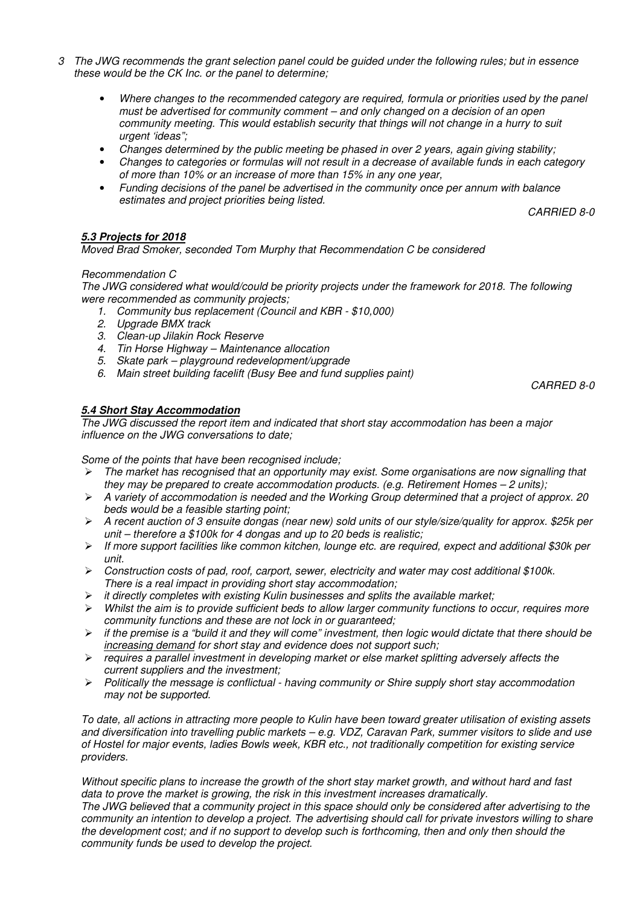- *3 The JWG recommends the grant selection panel could be guided under the following rules; but in essence these would be the CK Inc. or the panel to determine;* 
	- *Where changes to the recommended category are required, formula or priorities used by the panel must be advertised for community comment – and only changed on a decision of an open community meeting. This would establish security that things will not change in a hurry to suit urgent 'ideas";*
	- *Changes determined by the public meeting be phased in over 2 years, again giving stability;*
	- *Changes to categories or formulas will not result in a decrease of available funds in each category of more than 10% or an increase of more than 15% in any one year,*
	- *Funding decisions of the panel be advertised in the community once per annum with balance estimates and project priorities being listed.*

*CARRIED 8-0* 

## *5.3 Projects for 2018*

*Moved Brad Smoker, seconded Tom Murphy that Recommendation C be considered* 

#### *Recommendation C*

 *The JWG considered what would/could be priority projects under the framework for 2018. The following were recommended as community projects;* 

- *1. Community bus replacement (Council and KBR \$10,000)*
- *2. Upgrade BMX track*
- *3. Clean-up Jilakin Rock Reserve*
- *4. Tin Horse Highway Maintenance allocation*
- *5. Skate park playground redevelopment/upgrade*
- *6. Main street building facelift (Busy Bee and fund supplies paint)*

*CARRED 8-0* 

## *5.4 Short Stay Accommodation*

*The JWG discussed the report item and indicated that short stay accommodation has been a major influence on the JWG conversations to date;* 

*Some of the points that have been recognised include;* 

- $\triangleright$  *The market has recognised that an opportunity may exist. Some organisations are now signalling that they may be prepared to create accommodation products. (e.g. Retirement Homes – 2 units);*
- - *A variety of accommodation is needed and the Working Group determined that a project of approx. 20 beds would be a feasible starting point;*
- - *A recent auction of 3 ensuite dongas (near new) sold units of our style/size/quality for approx. \$25k per unit – therefore a \$100k for 4 dongas and up to 20 beds is realistic;*
- - *If more support facilities like common kitchen, lounge etc. are required, expect and additional \$30k per unit.*
- - *Construction costs of pad, roof, carport, sewer, electricity and water may cost additional \$100k. There is a real impact in providing short stay accommodation;*
- - *it directly completes with existing Kulin businesses and splits the available market;*
- - *Whilst the aim is to provide sufficient beds to allow larger community functions to occur, requires more community functions and these are not lock in or guaranteed;*
- - *if the premise is a "build it and they will come" investment, then logic would dictate that there should be increasing demand for short stay and evidence does not support such;*
- - *requires a parallel investment in developing market or else market splitting adversely affects the current suppliers and the investment;*
- - *Politically the message is conflictual having community or Shire supply short stay accommodation may not be supported.*

*To date, all actions in attracting more people to Kulin have been toward greater utilisation of existing assets and diversification into travelling public markets – e.g. VDZ, Caravan Park, summer visitors to slide and use of Hostel for major events, ladies Bowls week, KBR etc., not traditionally competition for existing service providers.* 

*Without specific plans to increase the growth of the short stay market growth, and without hard and fast data to prove the market is growing, the risk in this investment increases dramatically. The JWG believed that a community project in this space should only be considered after advertising to the* 

*community an intention to develop a project. The advertising should call for private investors willing to share the development cost; and if no support to develop such is forthcoming, then and only then should the community funds be used to develop the project.*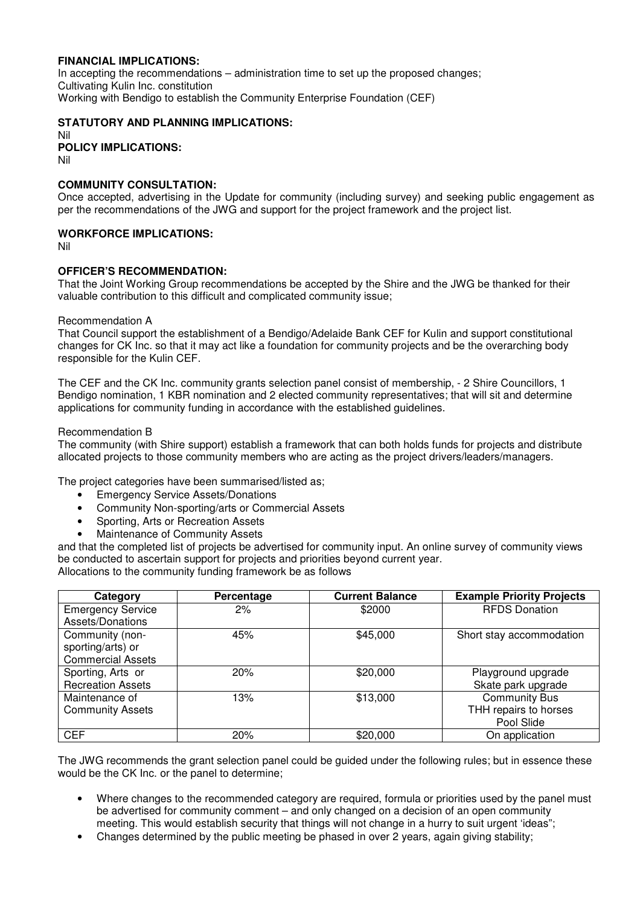## **FINANCIAL IMPLICATIONS:**

In accepting the recommendations – administration time to set up the proposed changes; Cultivating Kulin Inc. constitution Working with Bendigo to establish the Community Enterprise Foundation (CEF)

## **STATUTORY AND PLANNING IMPLICATIONS:**

Nil **POLICY IMPLICATIONS:**  Nil

#### **COMMUNITY CONSULTATION:**

Once accepted, advertising in the Update for community (including survey) and seeking public engagement as per the recommendations of the JWG and support for the project framework and the project list.

## **WORKFORCE IMPLICATIONS:**

Nil

#### **OFFICER'S RECOMMENDATION:**

That the Joint Working Group recommendations be accepted by the Shire and the JWG be thanked for their valuable contribution to this difficult and complicated community issue;

#### Recommendation A

That Council support the establishment of a Bendigo/Adelaide Bank CEF for Kulin and support constitutional changes for CK Inc. so that it may act like a foundation for community projects and be the overarching body responsible for the Kulin CEF.

The CEF and the CK Inc. community grants selection panel consist of membership, - 2 Shire Councillors, 1 Bendigo nomination, 1 KBR nomination and 2 elected community representatives; that will sit and determine applications for community funding in accordance with the established guidelines.

#### Recommendation B

The community (with Shire support) establish a framework that can both holds funds for projects and distribute allocated projects to those community members who are acting as the project drivers/leaders/managers.

The project categories have been summarised/listed as;

- Emergency Service Assets/Donations
- Community Non-sporting/arts or Commercial Assets
- Sporting, Arts or Recreation Assets
- Maintenance of Community Assets

and that the completed list of projects be advertised for community input. An online survey of community views be conducted to ascertain support for projects and priorities beyond current year. Allocations to the community funding framework be as follows

| Category                 | Percentage | <b>Current Balance</b> | <b>Example Priority Projects</b> |
|--------------------------|------------|------------------------|----------------------------------|
| <b>Emergency Service</b> | 2%         | \$2000                 | <b>RFDS Donation</b>             |
| Assets/Donations         |            |                        |                                  |
| Community (non-          | 45%        | \$45,000               | Short stay accommodation         |
| sporting/arts) or        |            |                        |                                  |
| <b>Commercial Assets</b> |            |                        |                                  |
| Sporting, Arts or        | 20%        | \$20,000               | Playground upgrade               |
| <b>Recreation Assets</b> |            |                        | Skate park upgrade               |
| Maintenance of           | l3%        | \$13,000               | <b>Community Bus</b>             |
| <b>Community Assets</b>  |            |                        | THH repairs to horses            |
|                          |            |                        | Pool Slide                       |
| <b>CEF</b>               | 20%        | \$20,000               | On application                   |

The JWG recommends the grant selection panel could be guided under the following rules; but in essence these would be the CK Inc. or the panel to determine;

- Where changes to the recommended category are required, formula or priorities used by the panel must be advertised for community comment – and only changed on a decision of an open community meeting. This would establish security that things will not change in a hurry to suit urgent 'ideas";
- Changes determined by the public meeting be phased in over 2 years, again giving stability;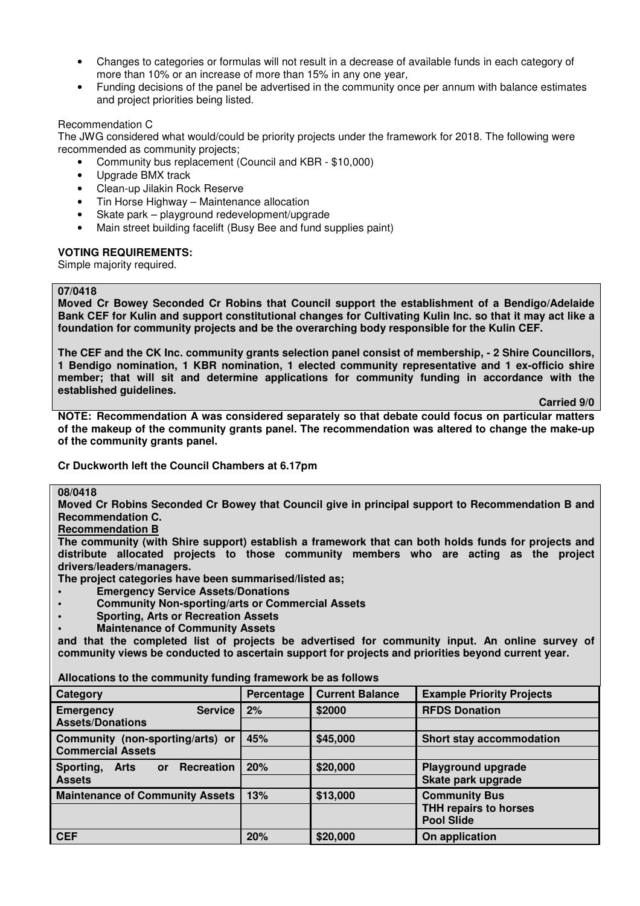- Changes to categories or formulas will not result in a decrease of available funds in each category of more than 10% or an increase of more than 15% in any one year,
- Funding decisions of the panel be advertised in the community once per annum with balance estimates and project priorities being listed.

#### Recommendation C

 The JWG considered what would/could be priority projects under the framework for 2018. The following were recommended as community projects;

- Community bus replacement (Council and KBR \$10,000)
- Upgrade BMX track
- Clean-up Jilakin Rock Reserve
- Tin Horse Highway Maintenance allocation
- Skate park playground redevelopment/upgrade
- Main street building facelift (Busy Bee and fund supplies paint)

## **VOTING REQUIREMENTS:**

Simple majority required.

#### **07/0418**

**Moved Cr Bowey Seconded Cr Robins that Council support the establishment of a Bendigo/Adelaide Bank CEF for Kulin and support constitutional changes for Cultivating Kulin Inc. so that it may act like a foundation for community projects and be the overarching body responsible for the Kulin CEF.** 

**The CEF and the CK Inc. community grants selection panel consist of membership, - 2 Shire Councillors, 1 Bendigo nomination, 1 KBR nomination, 1 elected community representative and 1 ex-officio shire member; that will sit and determine applications for community funding in accordance with the established guidelines.** 

 **Carried 9/0** 

**NOTE: Recommendation A was considered separately so that debate could focus on particular matters of the makeup of the community grants panel. The recommendation was altered to change the make-up of the community grants panel.** 

## **Cr Duckworth left the Council Chambers at 6.17pm**

**08/0418** 

**Moved Cr Robins Seconded Cr Bowey that Council give in principal support to Recommendation B and Recommendation C.** 

#### **Recommendation B**

**The community (with Shire support) establish a framework that can both holds funds for projects and distribute allocated projects to those community members who are acting as the project drivers/leaders/managers.** 

**The project categories have been summarised/listed as;** 

- **Emergency Service Assets/Donations**
- **Community Non-sporting/arts or Commercial Assets**
- **Sporting, Arts or Recreation Assets**
- **Maintenance of Community Assets**

**and that the completed list of projects be advertised for community input. An online survey of community views be conducted to ascertain support for projects and priorities beyond current year.** 

| Category                                                   | Percentage | <b>Current Balance</b> | <b>Example Priority Projects</b> |
|------------------------------------------------------------|------------|------------------------|----------------------------------|
| <b>Service</b><br><b>Emergency</b>                         | 2%         | \$2000                 | <b>RFDS Donation</b>             |
| <b>Assets/Donations</b>                                    |            |                        |                                  |
| Community (non-sporting/arts) or                           | 45%        | \$45,000               | <b>Short stay accommodation</b>  |
| <b>Commercial Assets</b>                                   |            |                        |                                  |
| <b>Recreation</b><br>Sporting,<br><b>Arts</b><br><b>or</b> | 20%        | \$20,000               | <b>Playground upgrade</b>        |
| <b>Assets</b>                                              |            |                        | Skate park upgrade               |
| <b>Maintenance of Community Assets</b>                     | 13%        | \$13,000               | <b>Community Bus</b>             |
|                                                            |            |                        | <b>THH repairs to horses</b>     |
|                                                            |            |                        | <b>Pool Slide</b>                |
| <b>CEF</b>                                                 | 20%        | \$20,000               | On application                   |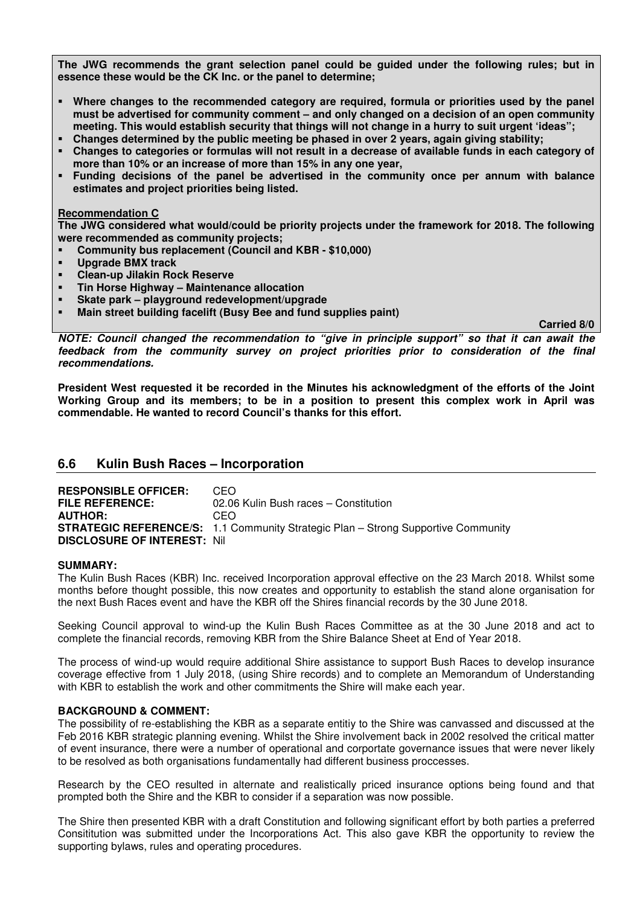**The JWG recommends the grant selection panel could be guided under the following rules; but in essence these would be the CK Inc. or the panel to determine;** 

- **Where changes to the recommended category are required, formula or priorities used by the panel must be advertised for community comment – and only changed on a decision of an open community meeting. This would establish security that things will not change in a hurry to suit urgent 'ideas";**
- **Changes determined by the public meeting be phased in over 2 years, again giving stability;**
- **Changes to categories or formulas will not result in a decrease of available funds in each category of more than 10% or an increase of more than 15% in any one year,**
- **Funding decisions of the panel be advertised in the community once per annum with balance estimates and project priorities being listed.**

#### **Recommendation C**

**The JWG considered what would/could be priority projects under the framework for 2018. The following were recommended as community projects;** 

- **Community bus replacement (Council and KBR \$10,000)**
- **Upgrade BMX track**
- **Clean-up Jilakin Rock Reserve**
- **Tin Horse Highway Maintenance allocation**
- **Skate park playground redevelopment/upgrade**
- **Main street building facelift (Busy Bee and fund supplies paint)**

 **Carried 8/0** 

*NOTE: Council changed the recommendation to "give in principle support" so that it can await the feedback from the community survey on project priorities prior to consideration of the final recommendations.* 

**President West requested it be recorded in the Minutes his acknowledgment of the efforts of the Joint Working Group and its members; to be in a position to present this complex work in April was commendable. He wanted to record Council's thanks for this effort.** 

## **6.6 Kulin Bush Races – Incorporation**

**RESPONSIBLE OFFICER: CFO FILE REFERENCE:** 02.06 Kulin Bush races – Constitution **AUTHOR:** CEO **STRATEGIC REFERENCE/S:** 1.1 Community Strategic Plan – Strong Supportive Community **DISCLOSURE OF INTEREST:** Nil

#### **SUMMARY:**

The Kulin Bush Races (KBR) Inc. received Incorporation approval effective on the 23 March 2018. Whilst some months before thought possible, this now creates and opportunity to establish the stand alone organisation for the next Bush Races event and have the KBR off the Shires financial records by the 30 June 2018.

Seeking Council approval to wind-up the Kulin Bush Races Committee as at the 30 June 2018 and act to complete the financial records, removing KBR from the Shire Balance Sheet at End of Year 2018.

The process of wind-up would require additional Shire assistance to support Bush Races to develop insurance coverage effective from 1 July 2018, (using Shire records) and to complete an Memorandum of Understanding with KBR to establish the work and other commitments the Shire will make each year.

## **BACKGROUND & COMMENT:**

The possibility of re-establishing the KBR as a separate entitiy to the Shire was canvassed and discussed at the Feb 2016 KBR strategic planning evening. Whilst the Shire involvement back in 2002 resolved the critical matter of event insurance, there were a number of operational and corportate governance issues that were never likely to be resolved as both organisations fundamentally had different business proccesses.

Research by the CEO resulted in alternate and realistically priced insurance options being found and that prompted both the Shire and the KBR to consider if a separation was now possible.

The Shire then presented KBR with a draft Constitution and following significant effort by both parties a preferred Consititution was submitted under the Incorporations Act. This also gave KBR the opportunity to review the supporting bylaws, rules and operating procedures.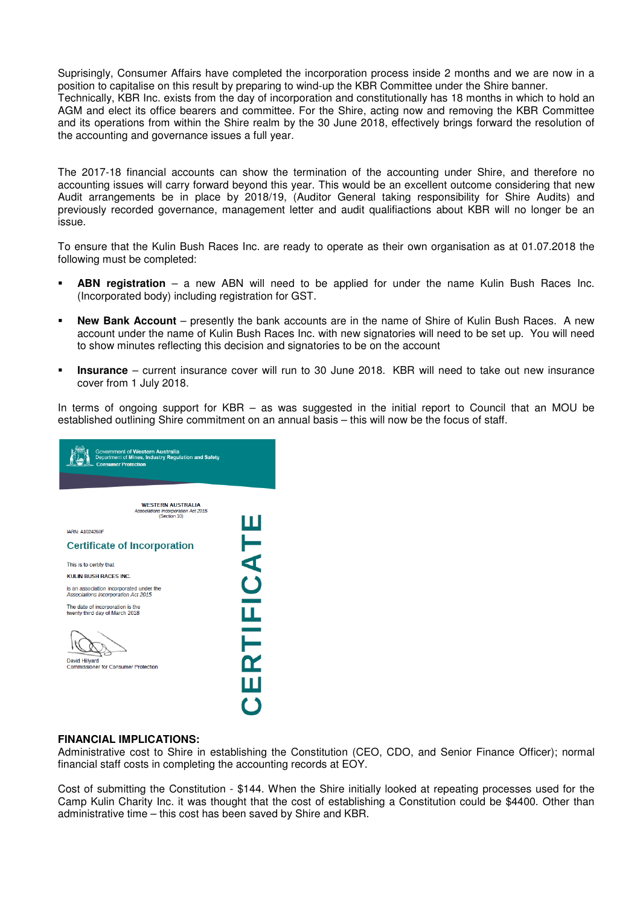Suprisingly, Consumer Affairs have completed the incorporation process inside 2 months and we are now in a position to capitalise on this result by preparing to wind-up the KBR Committee under the Shire banner. Technically, KBR Inc. exists from the day of incorporation and constitutionally has 18 months in which to hold an AGM and elect its office bearers and committee. For the Shire, acting now and removing the KBR Committee and its operations from within the Shire realm by the 30 June 2018, effectively brings forward the resolution of the accounting and governance issues a full year.

The 2017-18 financial accounts can show the termination of the accounting under Shire, and therefore no accounting issues will carry forward beyond this year. This would be an excellent outcome considering that new Audit arrangements be in place by 2018/19, (Auditor General taking responsibility for Shire Audits) and previously recorded governance, management letter and audit qualifiactions about KBR will no longer be an issue.

To ensure that the Kulin Bush Races Inc. are ready to operate as their own organisation as at 01.07.2018 the following must be completed:

- **ABN registration** a new ABN will need to be applied for under the name Kulin Bush Races Inc. (Incorporated body) including registration for GST.
- **New Bank Account** presently the bank accounts are in the name of Shire of Kulin Bush Races. A new account under the name of Kulin Bush Races Inc. with new signatories will need to be set up. You will need to show minutes reflecting this decision and signatories to be on the account
- **Insurance** current insurance cover will run to 30 June 2018. KBR will need to take out new insurance cover from 1 July 2018.

In terms of ongoing support for  $KBR - as$  was suggested in the initial report to Council that an MOU be established outlining Shire commitment on an annual basis – this will now be the focus of staff.



## **FINANCIAL IMPLICATIONS:**

Administrative cost to Shire in establishing the Constitution (CEO, CDO, and Senior Finance Officer); normal financial staff costs in completing the accounting records at EOY.

Cost of submitting the Constitution - \$144. When the Shire initially looked at repeating processes used for the Camp Kulin Charity Inc. it was thought that the cost of establishing a Constitution could be \$4400. Other than administrative time – this cost has been saved by Shire and KBR.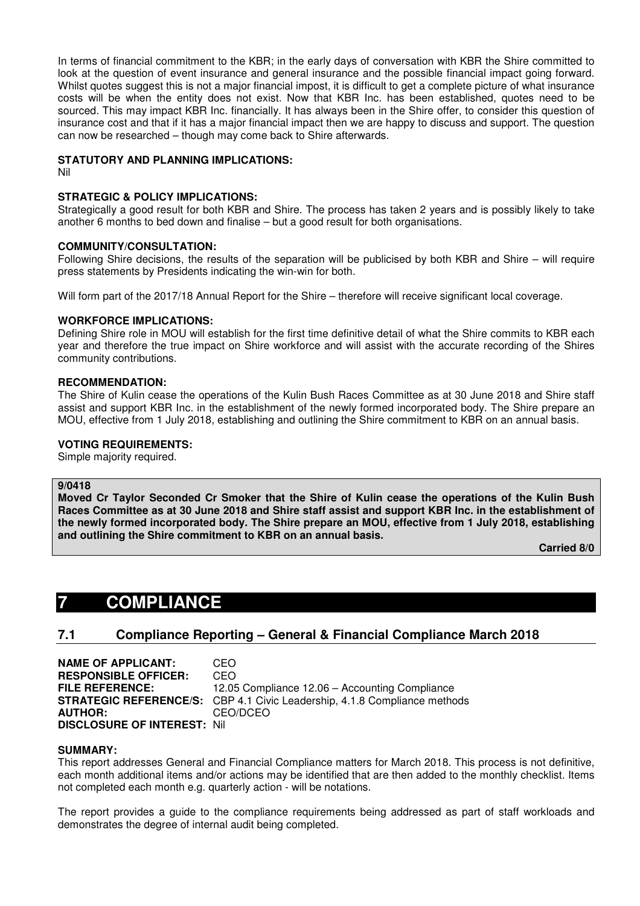In terms of financial commitment to the KBR; in the early days of conversation with KBR the Shire committed to look at the question of event insurance and general insurance and the possible financial impact going forward. Whilst quotes suggest this is not a major financial impost, it is difficult to get a complete picture of what insurance costs will be when the entity does not exist. Now that KBR Inc. has been established, quotes need to be sourced. This may impact KBR Inc. financially. It has always been in the Shire offer, to consider this question of insurance cost and that if it has a major financial impact then we are happy to discuss and support. The question can now be researched – though may come back to Shire afterwards.

## **STATUTORY AND PLANNING IMPLICATIONS:**

Nil

## **STRATEGIC & POLICY IMPLICATIONS:**

Strategically a good result for both KBR and Shire. The process has taken 2 years and is possibly likely to take another 6 months to bed down and finalise – but a good result for both organisations.

## **COMMUNITY/CONSULTATION:**

Following Shire decisions, the results of the separation will be publicised by both KBR and Shire – will require press statements by Presidents indicating the win-win for both.

Will form part of the 2017/18 Annual Report for the Shire – therefore will receive significant local coverage.

## **WORKFORCE IMPLICATIONS:**

Defining Shire role in MOU will establish for the first time definitive detail of what the Shire commits to KBR each year and therefore the true impact on Shire workforce and will assist with the accurate recording of the Shires community contributions.

#### **RECOMMENDATION:**

The Shire of Kulin cease the operations of the Kulin Bush Races Committee as at 30 June 2018 and Shire staff assist and support KBR Inc. in the establishment of the newly formed incorporated body. The Shire prepare an MOU, effective from 1 July 2018, establishing and outlining the Shire commitment to KBR on an annual basis.

#### **VOTING REQUIREMENTS:**

Simple majority required.

#### **9/0418**

**Moved Cr Taylor Seconded Cr Smoker that the Shire of Kulin cease the operations of the Kulin Bush Races Committee as at 30 June 2018 and Shire staff assist and support KBR Inc. in the establishment of the newly formed incorporated body. The Shire prepare an MOU, effective from 1 July 2018, establishing and outlining the Shire commitment to KBR on an annual basis.** 

 **Carried 8/0** 

# **7 COMPLIANCE**

## **7.1 Compliance Reporting – General & Financial Compliance March 2018**

**NAME OF APPLICANT:** CEO **RESPONSIBLE OFFICER:** CEO **FILE REFERENCE:** 12.05 Compliance 12.06 – Accounting Compliance **STRATEGIC REFERENCE/S:** CBP 4.1 Civic Leadership, 4.1.8 Compliance methods<br>**AUTHOR:** CEO/DCEO **AUTHOR:** CEO/DCEO **DISCLOSURE OF INTEREST:** Nil

#### **SUMMARY:**

This report addresses General and Financial Compliance matters for March 2018. This process is not definitive, each month additional items and/or actions may be identified that are then added to the monthly checklist. Items not completed each month e.g. quarterly action - will be notations.

The report provides a guide to the compliance requirements being addressed as part of staff workloads and demonstrates the degree of internal audit being completed.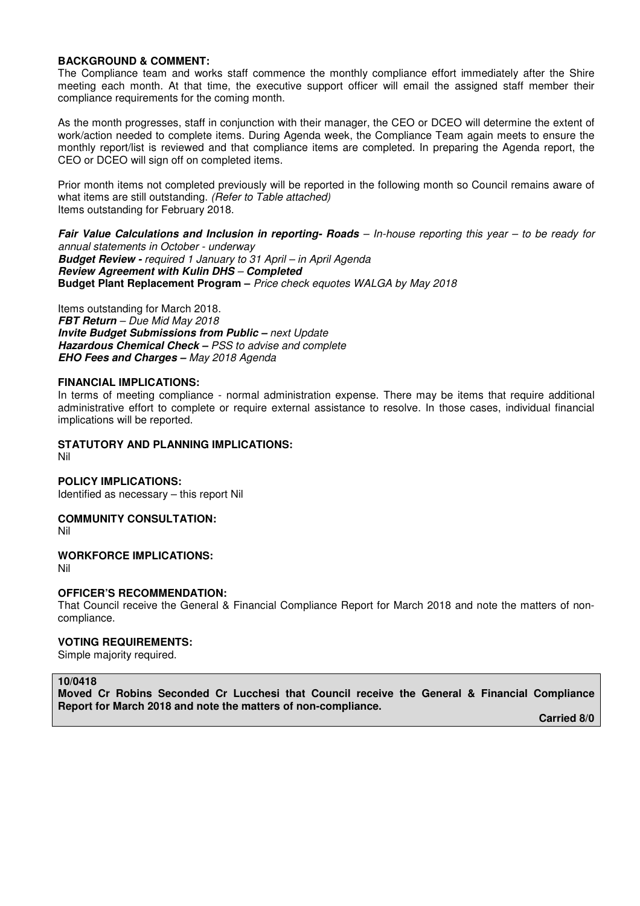#### **BACKGROUND & COMMENT:**

The Compliance team and works staff commence the monthly compliance effort immediately after the Shire meeting each month. At that time, the executive support officer will email the assigned staff member their compliance requirements for the coming month.

As the month progresses, staff in conjunction with their manager, the CEO or DCEO will determine the extent of work/action needed to complete items. During Agenda week, the Compliance Team again meets to ensure the monthly report/list is reviewed and that compliance items are completed. In preparing the Agenda report, the CEO or DCEO will sign off on completed items.

Prior month items not completed previously will be reported in the following month so Council remains aware of what items are still outstanding. *(Refer to Table attached)*  Items outstanding for February 2018.

*Fair Value Calculations and Inclusion in reporting- Roads – In-house reporting this year – to be ready for annual statements in October - underway*

*Budget Review - required 1 January to 31 April – in April Agenda Review Agreement with Kulin DHS – Completed*  **Budget Plant Replacement Program –** *Price check equotes WALGA by May 2018* 

Items outstanding for March 2018. *FBT Return – Due Mid May 2018 Invite Budget Submissions from Public – next Update Hazardous Chemical Check – PSS to advise and complete EHO Fees and Charges – May 2018 Agenda* 

#### **FINANCIAL IMPLICATIONS:**

In terms of meeting compliance - normal administration expense. There may be items that require additional administrative effort to complete or require external assistance to resolve. In those cases, individual financial implications will be reported.

**STATUTORY AND PLANNING IMPLICATIONS:** 

Nil

**POLICY IMPLICATIONS:** 

Identified as necessary – this report Nil

**COMMUNITY CONSULTATION:** 

Nil

**WORKFORCE IMPLICATIONS:** 

Nil

#### **OFFICER'S RECOMMENDATION:**

That Council receive the General & Financial Compliance Report for March 2018 and note the matters of noncompliance.

## **VOTING REQUIREMENTS:**

Simple majority required.

## **10/0418**

**Moved Cr Robins Seconded Cr Lucchesi that Council receive the General & Financial Compliance Report for March 2018 and note the matters of non-compliance.** 

 **Carried 8/0**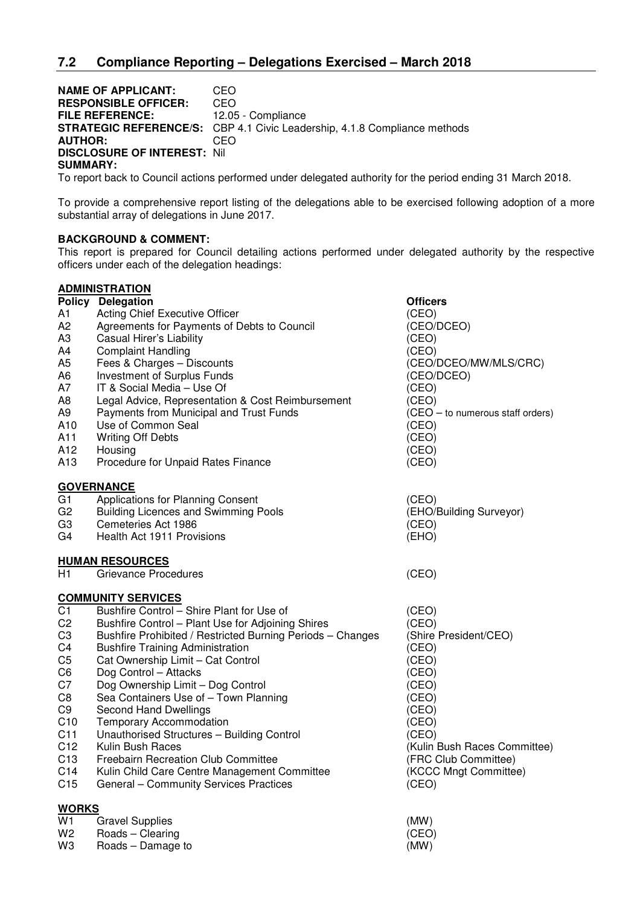**NAME OF APPLICANT:** CEO **RESPONSIBLE OFFICER:** CEO **FILE REFERENCE:** 12.05 - Compliance **STRATEGIC REFERENCE/S:** CBP 4.1 Civic Leadership, 4.1.8 Compliance methods **AUTHOR:** CEO **DISCLOSURE OF INTEREST:** Nil **SUMMARY:** 

To report back to Council actions performed under delegated authority for the period ending 31 March 2018.

To provide a comprehensive report listing of the delegations able to be exercised following adoption of a more substantial array of delegations in June 2017.

## **BACKGROUND & COMMENT:**

This report is prepared for Council detailing actions performed under delegated authority by the respective officers under each of the delegation headings:

## **ADMINISTRATION Policy Delegation Contract Contract Policy Delegation** A1 Acting Chief Executive Officer (CEO) A2 Agreements for Payments of Debts to Council (CEO/DCEO)<br>A3 Casual Hirer's Liability (CEO) Casual Hirer's Liability A4 Complaint Handling (CEO) A5 Fees & Charges – Discounts (CEO/DCEO/MW/MLS/CRC) A6 Investment of Surplus Funds (CEO/DCEO) A7 IT & Social Media – Use Of (CEO) A8 Legal Advice, Representation & Cost Reimbursement (CEO) A9 Payments from Municipal and Trust Funds (CEO – to numerous staff orders) A10 Use of Common Seal (CEO) A11 Writing Off Debts (CEO) A12 Housing (CEO) A13 Procedure for Unpaid Rates Finance (CEO) GOVERNANCE<br>G1 Applicat Applications for Planning Consent (CEO) G2 Building Licences and Swimming Pools (EHO/Building Surveyor) G3 Cemeteries Act 1986 (CEO) G4 Health Act 1911 Provisions (EHO) **HUMAN RESOURCES**  H1 Grievance Procedures (CEO) **COMMUNITY SERVICES**  C1 Bushfire Control – Shire Plant for Use of (CEO) C2 Bushfire Control – Plant Use for Adjoining Shires (CEO)<br>C3 Bushfire Prohibited / Restricted Burning Periods – Changes (Shire President/CEO) C3 Bushfire Prohibited / Restricted Burning Periods – Changes<br>C4 Bushfire Training Administration Bushfire Training Administration (CEO) C5 Cat Ownership Limit – Cat Control (CEO) C6 Dog Control – Attacks (CEO) C7 Dog Ownership Limit – Dog Control (CEO) C8 Sea Containers Use of – Town Planning (CEO) C9 Second Hand Dwellings (CEO) C10 Temporary Accommodation (CEO) C11 Unauthorised Structures – Building Control (CEO) C12 Kulin Bush Races (Kulin Bush Races Committee) C13 Freebairn Recreation Club Committee **(FRC Club Committee)**<br>C14 Kulin Child Care Centre Management Committee (KCCC Mngt Committe Kulin Child Care Centre Management Committee (KCCC Mngt Committee) C15 General – Community Services Practices (CEO) **WORKS**  W1 Gravel Supplies (MW)

W2 Roads – Clearing (CEO) W3 Roads – Damage to (MW)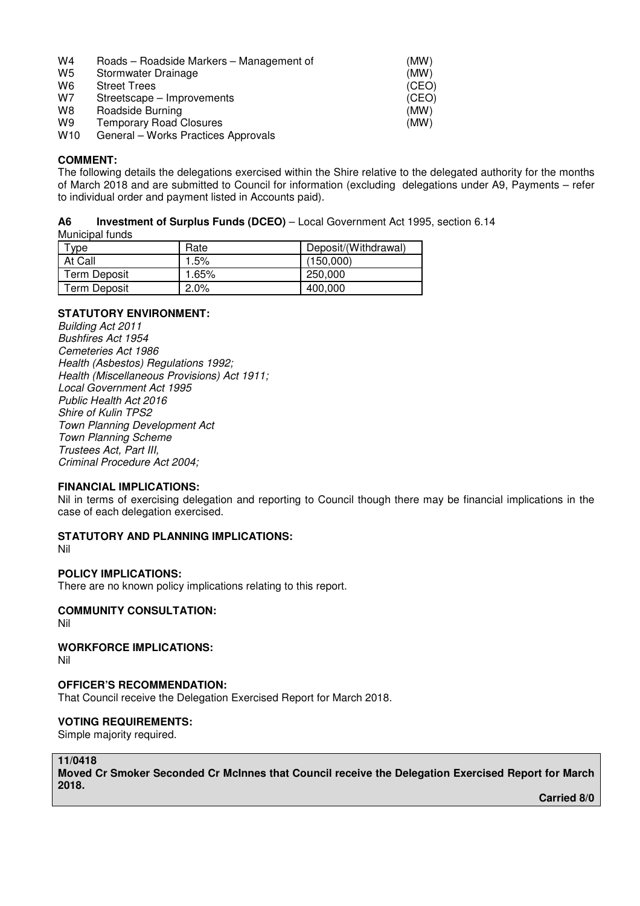| W4 | Roads – Roadside Markers – Management of | (MW) |
|----|------------------------------------------|------|
|----|------------------------------------------|------|

- W<sub>5</sub> Stormwater Drainage (MW)
- 
- W6 Street Trees<br>W7 Streetscape Improvements<br>W7 Streetscape Improvements Streetscape – Improvements (CEO)
- W8 Roadside Burning **CONSISTENT CONSISTENT** (MW)
- 

W9 Temporary Road Closures<br>W10 General – Works Practices Approvals<br> General – Works Practices Approvals

#### **COMMENT:**

The following details the delegations exercised within the Shire relative to the delegated authority for the months of March 2018 and are submitted to Council for information (excluding delegations under A9, Payments – refer to individual order and payment listed in Accounts paid).

## **A6 Investment of Surplus Funds (DCEO)** – Local Government Act 1995, section 6.14

Municipal funds

| <b>vpe</b>          | Rate  | Deposit/(Withdrawal) |
|---------------------|-------|----------------------|
| At Call             | 1.5%  | (150.000)            |
| <b>Term Deposit</b> | 1.65% | 250,000              |
| Term Deposit        | 2.0%  | 400,000              |

## **STATUTORY ENVIRONMENT:**

*Building Act 2011 Bushfires Act 1954 Cemeteries Act 1986 Health (Asbestos) Regulations 1992; Health (Miscellaneous Provisions) Act 1911; Local Government Act 1995 Public Health Act 2016 Shire of Kulin TPS2 Town Planning Development Act Town Planning Scheme Trustees Act, Part III, Criminal Procedure Act 2004;* 

## **FINANCIAL IMPLICATIONS:**

Nil in terms of exercising delegation and reporting to Council though there may be financial implications in the case of each delegation exercised.

## **STATUTORY AND PLANNING IMPLICATIONS:**

Nil

## **POLICY IMPLICATIONS:**

There are no known policy implications relating to this report.

## **COMMUNITY CONSULTATION:**

Nil

# **WORKFORCE IMPLICATIONS:**

Nil

## **OFFICER'S RECOMMENDATION:**

That Council receive the Delegation Exercised Report for March 2018.

# **VOTING REQUIREMENTS:**

Simple majority required.

# **11/0418**

**Moved Cr Smoker Seconded Cr McInnes that Council receive the Delegation Exercised Report for March 2018.** 

 **Carried 8/0**